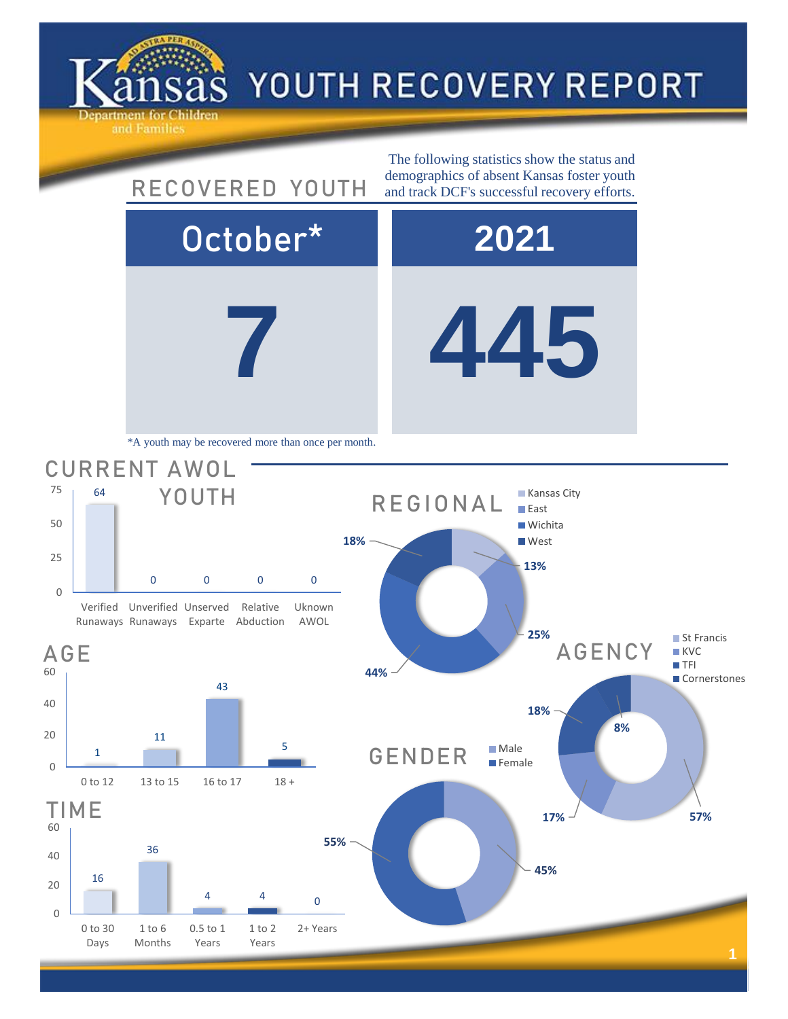



Verified Unverified Unserved Runaways Runaways Exparte Relative Abduction Uknown AWOL





**7 445**



■ St Francis **KVC TFI** 

**Cornerstones**